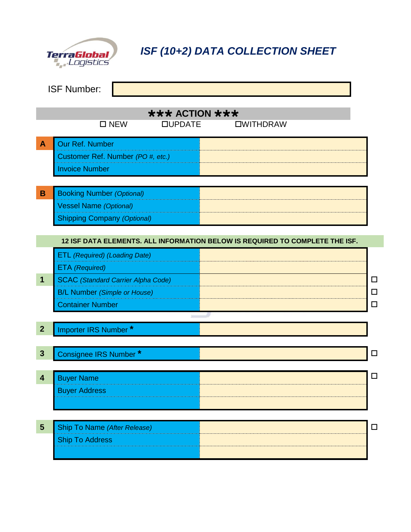

*ISF (10+2) DATA COLLECTION SHEET*

|                                            | <b>ISF Number:</b>                                                               |                                                                              |                  |  |  |
|--------------------------------------------|----------------------------------------------------------------------------------|------------------------------------------------------------------------------|------------------|--|--|
| $\star\star\star$ ACTION $\star\star\star$ |                                                                                  |                                                                              |                  |  |  |
|                                            | $\square$ NEW<br><b>QUPDATE</b>                                                  | <b>OWITHDRAW</b>                                                             |                  |  |  |
| $\mathbf{A}$                               | Our Ref. Number                                                                  |                                                                              |                  |  |  |
|                                            | Customer Ref. Number (PO #, etc.)                                                |                                                                              |                  |  |  |
|                                            | <b>Invoice Number</b>                                                            |                                                                              |                  |  |  |
|                                            |                                                                                  |                                                                              |                  |  |  |
| $\, {\bf B}$                               | <b>Booking Number (Optional)</b>                                                 |                                                                              |                  |  |  |
|                                            | <b>Vessel Name (Optional)</b>                                                    |                                                                              |                  |  |  |
|                                            | <b>Shipping Company (Optional)</b>                                               |                                                                              |                  |  |  |
|                                            |                                                                                  |                                                                              |                  |  |  |
|                                            |                                                                                  | 12 ISF DATA ELEMENTS. ALL INFORMATION BELOW IS REQUIRED TO COMPLETE THE ISF. |                  |  |  |
|                                            | <b>ETL</b> (Required) (Loading Date)                                             |                                                                              |                  |  |  |
|                                            | ETA (Required)                                                                   |                                                                              |                  |  |  |
| $\mathbf 1$                                | <b>SCAC</b> (Standard Carrier Alpha Code)<br><b>B/L Number (Simple or House)</b> |                                                                              | $\Box$<br>$\Box$ |  |  |
|                                            | <b>Container Number</b>                                                          |                                                                              | $\Box$           |  |  |
|                                            | $\sim$                                                                           |                                                                              |                  |  |  |
| $\overline{2}$                             | Importer IRS Number*                                                             |                                                                              |                  |  |  |
|                                            |                                                                                  |                                                                              |                  |  |  |
| $\mathbf{3}$                               | Consignee IRS Number *                                                           |                                                                              | $\Box$           |  |  |
|                                            |                                                                                  |                                                                              |                  |  |  |
| $\overline{\mathbf{4}}$                    | <b>Buyer Name</b>                                                                |                                                                              | $\Box$           |  |  |
|                                            | <b>Buyer Address</b>                                                             |                                                                              |                  |  |  |
|                                            |                                                                                  |                                                                              |                  |  |  |
|                                            |                                                                                  |                                                                              |                  |  |  |
| $5\phantom{1}$                             | Ship To Name (After Release)                                                     |                                                                              | $\Box$           |  |  |
|                                            | <b>Ship To Address</b>                                                           |                                                                              |                  |  |  |
|                                            |                                                                                  |                                                                              |                  |  |  |